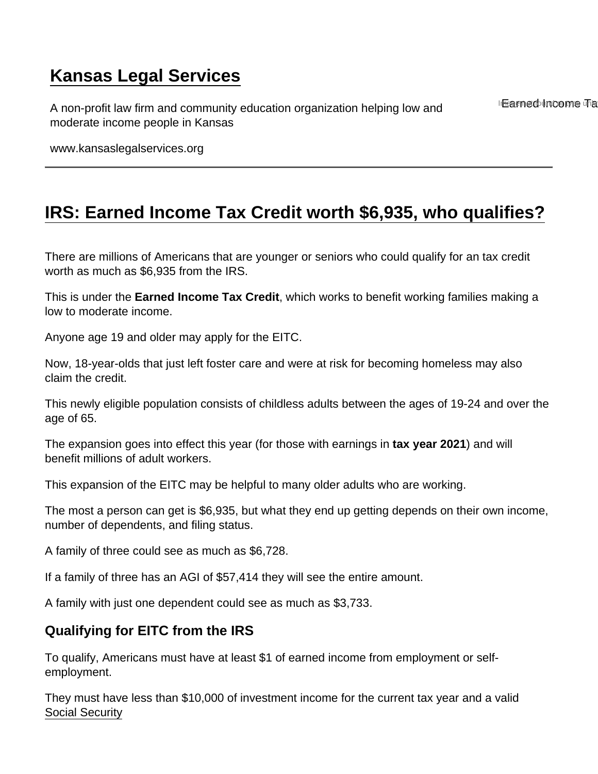# [Kansas Legal Services](https://www.kansaslegalservices.org/)

A non-profit law firm and community education organization helping low and moderate income people in Kansas

InFearned bluncome Tha

www.kansaslegalservices.org

## [IRS: Earned Income Tax Credit worth \\$6,935, who qualifies?](https://www.kansaslegalservices.org/node/2502/irs-earned-income-tax-credit-worth-6935-who-qualifies)

There are millions of Americans that are younger or seniors who could qualify for an tax credit worth as much as \$6,935 from the IRS.

This is under the Earned Income Tax Credit , which works to benefit working families making a low to moderate income.

Anyone age 19 and older may apply for the EITC.

Now, 18-year-olds that just left foster care and were at risk for becoming homeless may also claim the credit.

This newly eligible population consists of childless adults between the ages of 19-24 and over the age of 65.

The expansion goes into effect this year (for those with earnings in tax year 2021 ) and will benefit millions of adult workers.

This expansion of the EITC may be helpful to many older adults who are working.

The most a person can get is \$6,935, but what they end up getting depends on their own income, number of dependents, and filing status.

A family of three could see as much as \$6,728.

If a family of three has an AGI of \$57,414 they will see the entire amount.

A family with just one dependent could see as much as \$3,733.

#### Qualifying for EITC from the IRS

To qualify, Americans must have at least \$1 of earned income from employment or selfemployment.

They must have less than \$10,000 of investment income for the current tax year and a valid [Social Security](https://www.the-sun.com/topic/social-security/)